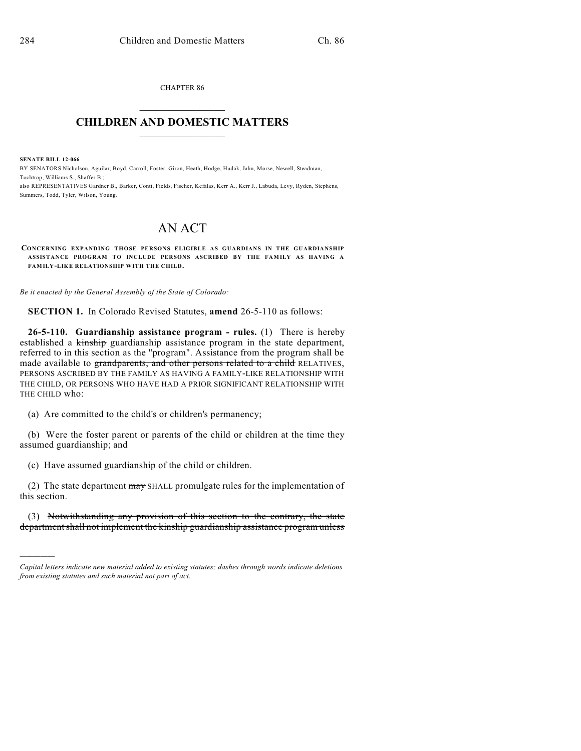CHAPTER 86  $\mathcal{L}_\text{max}$  . The set of the set of the set of the set of the set of the set of the set of the set of the set of the set of the set of the set of the set of the set of the set of the set of the set of the set of the set

## **CHILDREN AND DOMESTIC MATTERS**  $\_$

**SENATE BILL 12-066**

)))))

BY SENATORS Nicholson, Aguilar, Boyd, Carroll, Foster, Giron, Heath, Hodge, Hudak, Jahn, Morse, Newell, Steadman, Tochtrop, Williams S., Shaffer B.;

also REPRESENTATIVES Gardner B., Barker, Conti, Fields, Fischer, Kefalas, Kerr A., Kerr J., Labuda, Levy, Ryden, Stephens, Summers, Todd, Tyler, Wilson, Young.

## AN ACT

**CONCERNING EXPANDING THOSE PERSONS ELIGIBLE AS GUARDIANS IN THE GUARDIANSHIP ASSISTANCE PROGRAM TO INCLUDE PERSONS ASCRIBED BY THE FAMILY AS HAVING A FAMILY-LIKE RELATIONSHIP WITH THE CHILD.**

*Be it enacted by the General Assembly of the State of Colorado:*

**SECTION 1.** In Colorado Revised Statutes, **amend** 26-5-110 as follows:

**26-5-110. Guardianship assistance program - rules.** (1) There is hereby established a kinship guardianship assistance program in the state department, referred to in this section as the "program". Assistance from the program shall be made available to grandparents, and other persons related to a child RELATIVES, PERSONS ASCRIBED BY THE FAMILY AS HAVING A FAMILY-LIKE RELATIONSHIP WITH THE CHILD, OR PERSONS WHO HAVE HAD A PRIOR SIGNIFICANT RELATIONSHIP WITH THE CHILD who:

(a) Are committed to the child's or children's permanency;

(b) Were the foster parent or parents of the child or children at the time they assumed guardianship; and

(c) Have assumed guardianship of the child or children.

(2) The state department may SHALL promulgate rules for the implementation of this section.

(3) Notwithstanding any provision of this section to the contrary, the state department shall not implement the kinship guardianship assistance program unless

*Capital letters indicate new material added to existing statutes; dashes through words indicate deletions from existing statutes and such material not part of act.*